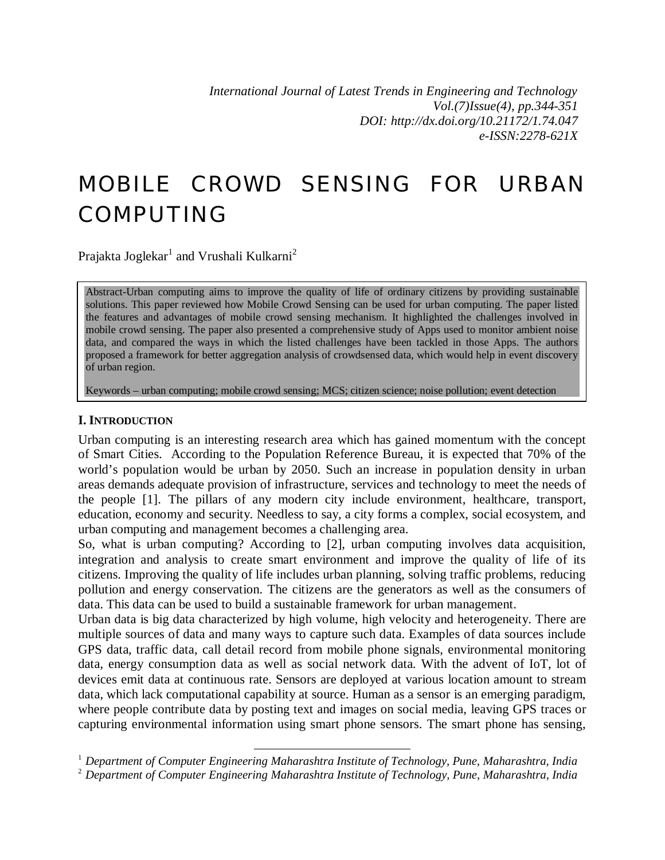*International Journal of Latest Trends in Engineering and Technology Vol.(7)Issue(4), pp.344-351 DOI: http://dx.doi.org/10.21172/1.74.047 e-ISSN:2278-621X*

# MOBILE CROWD SENSING FOR URBAN COMPUTING

Prajakta Joglekar $^{\rm l}$  and Vrushali Kulkarni $^{\rm 2}$ 

Abstract-Urban computing aims to improve the quality of life of ordinary citizens by providing sustainable solutions. This paper reviewed how Mobile Crowd Sensing can be used for urban computing. The paper listed the features and advantages of mobile crowd sensing mechanism. It highlighted the challenges involved in mobile crowd sensing. The paper also presented a comprehensive study of Apps used to monitor ambient noise data, and compared the ways in which the listed challenges have been tackled in those Apps. The authors proposed a framework for better aggregation analysis of crowdsensed data, which would help in event discovery of urban region.

Keywords – urban computing; mobile crowd sensing; MCS; citizen science; noise pollution; event detection

#### **I. INTRODUCTION**

Urban computing is an interesting research area which has gained momentum with the concept of Smart Cities. According to the Population Reference Bureau, it is expected that 70% of the world's population would be urban by 2050. Such an increase in population density in urban areas demands adequate provision of infrastructure, services and technology to meet the needs of the people [1]. The pillars of any modern city include environment, healthcare, transport, education, economy and security. Needless to say, a city forms a complex, social ecosystem, and urban computing and management becomes a challenging area.

So, what is urban computing? According to [2], urban computing involves data acquisition, integration and analysis to create smart environment and improve the quality of life of its citizens. Improving the quality of life includes urban planning, solving traffic problems, reducing pollution and energy conservation. The citizens are the generators as well as the consumers of data. This data can be used to build a sustainable framework for urban management.

Urban data is big data characterized by high volume, high velocity and heterogeneity. There are multiple sources of data and many ways to capture such data. Examples of data sources include GPS data, traffic data, call detail record from mobile phone signals, environmental monitoring data, energy consumption data as well as social network data. With the advent of IoT, lot of devices emit data at continuous rate. Sensors are deployed at various location amount to stream data, which lack computational capability at source. Human as a sensor is an emerging paradigm, where people contribute data by posting text and images on social media, leaving GPS traces or capturing environmental information using smart phone sensors. The smart phone has sensing,

 $\overline{a}$ 

<sup>1</sup> *Department of Computer Engineering Maharashtra Institute of Technology, Pune, Maharashtra, India*

<sup>2</sup> *Department of Computer Engineering Maharashtra Institute of Technology, Pune, Maharashtra, India*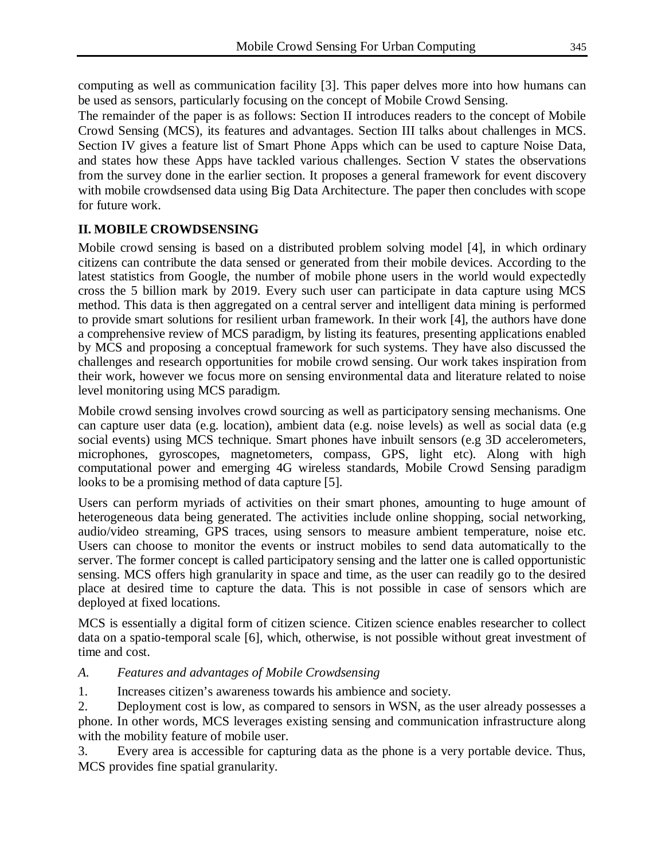computing as well as communication facility [3]. This paper delves more into how humans can be used as sensors, particularly focusing on the concept of Mobile Crowd Sensing.

The remainder of the paper is as follows: Section II introduces readers to the concept of Mobile Crowd Sensing (MCS), its features and advantages. Section III talks about challenges in MCS. Section IV gives a feature list of Smart Phone Apps which can be used to capture Noise Data, and states how these Apps have tackled various challenges. Section V states the observations from the survey done in the earlier section. It proposes a general framework for event discovery with mobile crowdsensed data using Big Data Architecture. The paper then concludes with scope for future work.

# **II. MOBILE CROWDSENSING**

Mobile crowd sensing is based on a distributed problem solving model [4], in which ordinary citizens can contribute the data sensed or generated from their mobile devices. According to the latest statistics from Google, the number of mobile phone users in the world would expectedly cross the 5 billion mark by 2019. Every such user can participate in data capture using MCS method. This data is then aggregated on a central server and intelligent data mining is performed to provide smart solutions for resilient urban framework. In their work [4], the authors have done a comprehensive review of MCS paradigm, by listing its features, presenting applications enabled by MCS and proposing a conceptual framework for such systems. They have also discussed the challenges and research opportunities for mobile crowd sensing. Our work takes inspiration from their work, however we focus more on sensing environmental data and literature related to noise level monitoring using MCS paradigm.

Mobile crowd sensing involves crowd sourcing as well as participatory sensing mechanisms. One can capture user data (e.g. location), ambient data (e.g. noise levels) as well as social data (e.g social events) using MCS technique. Smart phones have inbuilt sensors (e.g 3D accelerometers, microphones, gyroscopes, magnetometers, compass, GPS, light etc). Along with high computational power and emerging 4G wireless standards, Mobile Crowd Sensing paradigm looks to be a promising method of data capture [5].

Users can perform myriads of activities on their smart phones, amounting to huge amount of heterogeneous data being generated. The activities include online shopping, social networking, audio/video streaming, GPS traces, using sensors to measure ambient temperature, noise etc. Users can choose to monitor the events or instruct mobiles to send data automatically to the server. The former concept is called participatory sensing and the latter one is called opportunistic sensing. MCS offers high granularity in space and time, as the user can readily go to the desired place at desired time to capture the data. This is not possible in case of sensors which are deployed at fixed locations.

MCS is essentially a digital form of citizen science. Citizen science enables researcher to collect data on a spatio-temporal scale [6], which, otherwise, is not possible without great investment of time and cost.

#### *A. Features and advantages of Mobile Crowdsensing*

1. Increases citizen's awareness towards his ambience and society.

2. Deployment cost is low, as compared to sensors in WSN, as the user already possesses a phone. In other words, MCS leverages existing sensing and communication infrastructure along with the mobility feature of mobile user.

3. Every area is accessible for capturing data as the phone is a very portable device. Thus, MCS provides fine spatial granularity.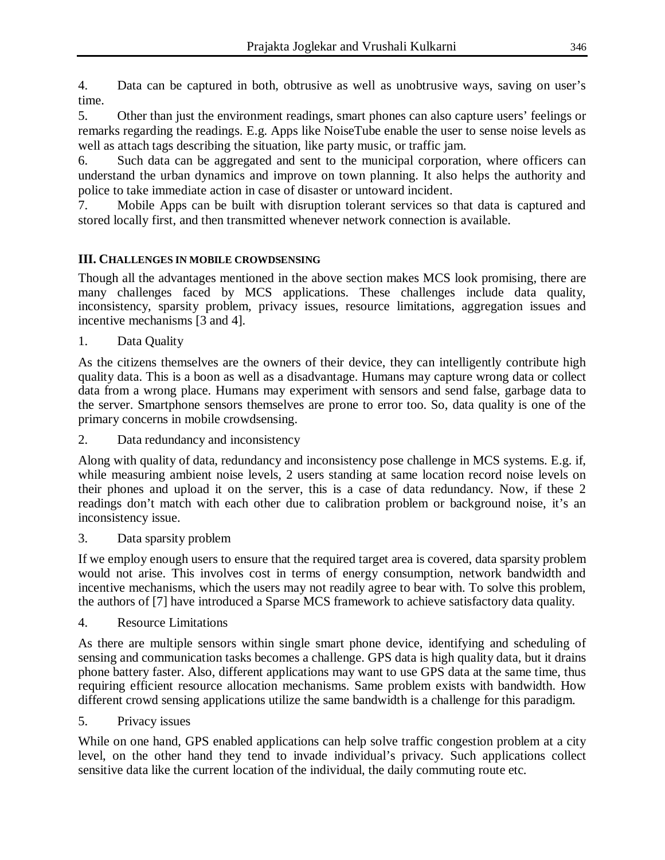4. Data can be captured in both, obtrusive as well as unobtrusive ways, saving on user's time.

5. Other than just the environment readings, smart phones can also capture users' feelings or remarks regarding the readings. E.g. Apps like NoiseTube enable the user to sense noise levels as well as attach tags describing the situation, like party music, or traffic jam.

6. Such data can be aggregated and sent to the municipal corporation, where officers can understand the urban dynamics and improve on town planning. It also helps the authority and police to take immediate action in case of disaster or untoward incident.

7. Mobile Apps can be built with disruption tolerant services so that data is captured and stored locally first, and then transmitted whenever network connection is available.

# **III. CHALLENGES IN MOBILE CROWDSENSING**

Though all the advantages mentioned in the above section makes MCS look promising, there are many challenges faced by MCS applications. These challenges include data quality, inconsistency, sparsity problem, privacy issues, resource limitations, aggregation issues and incentive mechanisms [3 and 4].

1. Data Quality

As the citizens themselves are the owners of their device, they can intelligently contribute high quality data. This is a boon as well as a disadvantage. Humans may capture wrong data or collect data from a wrong place. Humans may experiment with sensors and send false, garbage data to the server. Smartphone sensors themselves are prone to error too. So, data quality is one of the primary concerns in mobile crowdsensing.

2. Data redundancy and inconsistency

Along with quality of data, redundancy and inconsistency pose challenge in MCS systems. E.g. if, while measuring ambient noise levels, 2 users standing at same location record noise levels on their phones and upload it on the server, this is a case of data redundancy. Now, if these 2 readings don't match with each other due to calibration problem or background noise, it's an inconsistency issue.

3. Data sparsity problem

If we employ enough users to ensure that the required target area is covered, data sparsity problem would not arise. This involves cost in terms of energy consumption, network bandwidth and incentive mechanisms, which the users may not readily agree to bear with. To solve this problem, the authors of [7] have introduced a Sparse MCS framework to achieve satisfactory data quality.

4. Resource Limitations

As there are multiple sensors within single smart phone device, identifying and scheduling of sensing and communication tasks becomes a challenge. GPS data is high quality data, but it drains phone battery faster. Also, different applications may want to use GPS data at the same time, thus requiring efficient resource allocation mechanisms. Same problem exists with bandwidth. How different crowd sensing applications utilize the same bandwidth is a challenge for this paradigm.

5. Privacy issues

While on one hand, GPS enabled applications can help solve traffic congestion problem at a city level, on the other hand they tend to invade individual's privacy. Such applications collect sensitive data like the current location of the individual, the daily commuting route etc.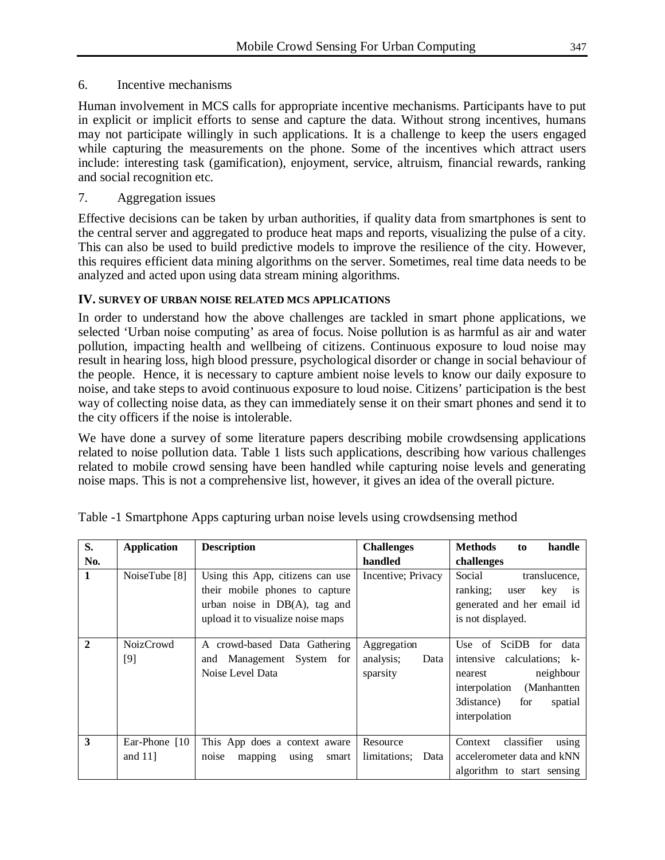# 6. Incentive mechanisms

Human involvement in MCS calls for appropriate incentive mechanisms. Participants have to put in explicit or implicit efforts to sense and capture the data. Without strong incentives, humans may not participate willingly in such applications. It is a challenge to keep the users engaged while capturing the measurements on the phone. Some of the incentives which attract users include: interesting task (gamification), enjoyment, service, altruism, financial rewards, ranking and social recognition etc.

# 7. Aggregation issues

Effective decisions can be taken by urban authorities, if quality data from smartphones is sent to the central server and aggregated to produce heat maps and reports, visualizing the pulse of a city. This can also be used to build predictive models to improve the resilience of the city. However, this requires efficient data mining algorithms on the server. Sometimes, real time data needs to be analyzed and acted upon using data stream mining algorithms.

# **IV. SURVEY OF URBAN NOISE RELATED MCS APPLICATIONS**

In order to understand how the above challenges are tackled in smart phone applications, we selected 'Urban noise computing' as area of focus. Noise pollution is as harmful as air and water pollution, impacting health and wellbeing of citizens. Continuous exposure to loud noise may result in hearing loss, high blood pressure, psychological disorder or change in social behaviour of the people. Hence, it is necessary to capture ambient noise levels to know our daily exposure to noise, and take steps to avoid continuous exposure to loud noise. Citizens' participation is the best way of collecting noise data, as they can immediately sense it on their smart phones and send it to the city officers if the noise is intolerable.

We have done a survey of some literature papers describing mobile crowdsensing applications related to noise pollution data. Table 1 lists such applications, describing how various challenges related to mobile crowd sensing have been handled while capturing noise levels and generating noise maps. This is not a comprehensive list, however, it gives an idea of the overall picture.

| S.            | <b>Application</b>           | <b>Description</b>                                                                                                                          | <b>Challenges</b>                            | <b>Methods</b><br>handle<br>to                                                                                                                                         |
|---------------|------------------------------|---------------------------------------------------------------------------------------------------------------------------------------------|----------------------------------------------|------------------------------------------------------------------------------------------------------------------------------------------------------------------------|
| No.           |                              |                                                                                                                                             | handled                                      | challenges                                                                                                                                                             |
| $\mathbf{1}$  | NoiseTube [8]                | Using this App, citizens can use<br>their mobile phones to capture<br>urban noise in $DB(A)$ , tag and<br>upload it to visualize noise maps | Incentive; Privacy                           | Social<br>translucence.<br>ranking;<br>key<br>user<br>1S<br>generated and her email id<br>is not displayed.                                                            |
| $\mathcal{D}$ | NoizCrowd<br>$[9]$           | A crowd-based Data Gathering<br>and Management System for<br>Noise Level Data                                                               | Aggregation<br>analysis;<br>Data<br>sparsity | Use of<br>SciDB<br>for data<br>calculations; k-<br>intensive<br>neighbour<br>nearest<br>interpolation<br>(Manhantten<br>3 distance)<br>for<br>spatial<br>interpolation |
| 3             | Ear-Phone [10]<br>and $11$ ] | This App does a context aware<br>noise<br>mapping using<br>smart                                                                            | Resource<br>limitations;<br>Data             | classifier<br>Context<br>using<br>accelerometer data and kNN<br>algorithm to start sensing                                                                             |

Table -1 Smartphone Apps capturing urban noise levels using crowdsensing method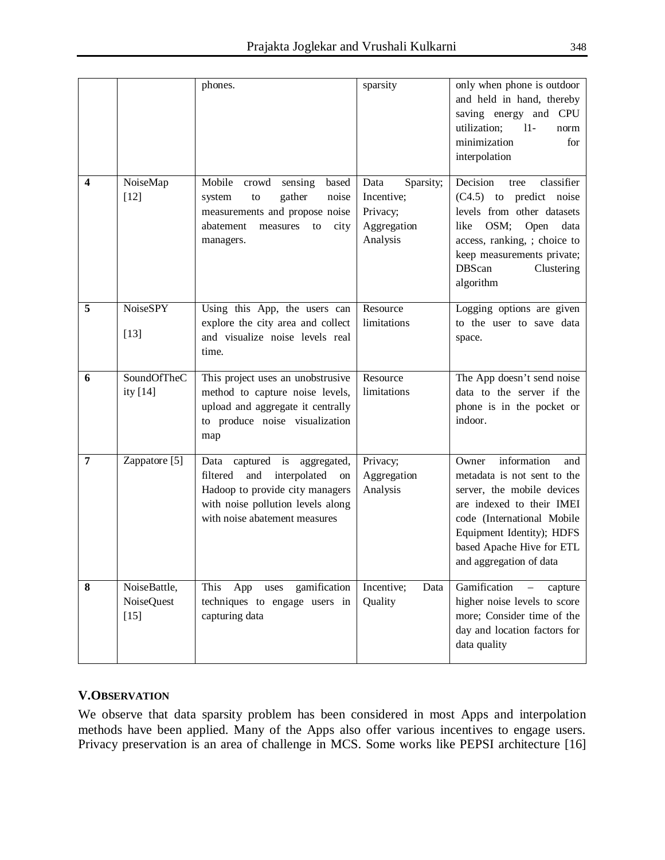|                |                                      | phones.                                                                                                                                                                        | sparsity                                                               | only when phone is outdoor<br>and held in hand, thereby<br>saving energy and CPU<br>utilization;<br>$11-$<br>norm<br>minimization<br>for<br>interpolation                                                                                |
|----------------|--------------------------------------|--------------------------------------------------------------------------------------------------------------------------------------------------------------------------------|------------------------------------------------------------------------|------------------------------------------------------------------------------------------------------------------------------------------------------------------------------------------------------------------------------------------|
| 4              | NoiseMap<br>$[12]$                   | Mobile<br>crowd<br>sensing<br>based<br>gather<br>noise<br>system<br>to<br>measurements and propose noise<br>abatement<br>measures<br>city<br>to<br>managers.                   | Sparsity;<br>Data<br>Incentive;<br>Privacy;<br>Aggregation<br>Analysis | Decision<br>classifier<br>tree<br>(C4.5) to predict noise<br>levels from other datasets<br>OSM;<br>Open<br>like<br>data<br>access, ranking, ; choice to<br>keep measurements private;<br><b>DBScan</b><br>Clustering<br>algorithm        |
| 5              | <b>NoiseSPY</b><br>$[13]$            | Using this App, the users can<br>explore the city area and collect<br>and visualize noise levels real<br>time.                                                                 | Resource<br>limitations                                                | Logging options are given<br>to the user to save data<br>space.                                                                                                                                                                          |
| 6              | SoundOfTheC<br>ity [14]              | This project uses an unobstrusive<br>method to capture noise levels,<br>upload and aggregate it centrally<br>to produce noise visualization<br>map                             | Resource<br>limitations                                                | The App doesn't send noise<br>data to the server if the<br>phone is in the pocket or<br>indoor.                                                                                                                                          |
| $\overline{7}$ | Zappatore [5]                        | Data captured is aggregated,<br>filtered<br>interpolated<br>and<br>on<br>Hadoop to provide city managers<br>with noise pollution levels along<br>with noise abatement measures | Privacy;<br>Aggregation<br>Analysis                                    | information<br>Owner<br>and<br>metadata is not sent to the<br>server, the mobile devices<br>are indexed to their IMEI<br>code (International Mobile<br>Equipment Identity); HDFS<br>based Apache Hive for ETL<br>and aggregation of data |
| 8              | NoiseBattle,<br>NoiseQuest<br>$[15]$ | gamification<br>This<br>App<br>uses<br>techniques to engage users in<br>capturing data                                                                                         | Incentive;<br>Data<br>Quality                                          | Gamification<br>capture<br>$\overline{\phantom{0}}$<br>higher noise levels to score<br>more; Consider time of the<br>day and location factors for<br>data quality                                                                        |

#### **V.OBSERVATION**

We observe that data sparsity problem has been considered in most Apps and interpolation methods have been applied. Many of the Apps also offer various incentives to engage users. Privacy preservation is an area of challenge in MCS. Some works like PEPSI architecture [16]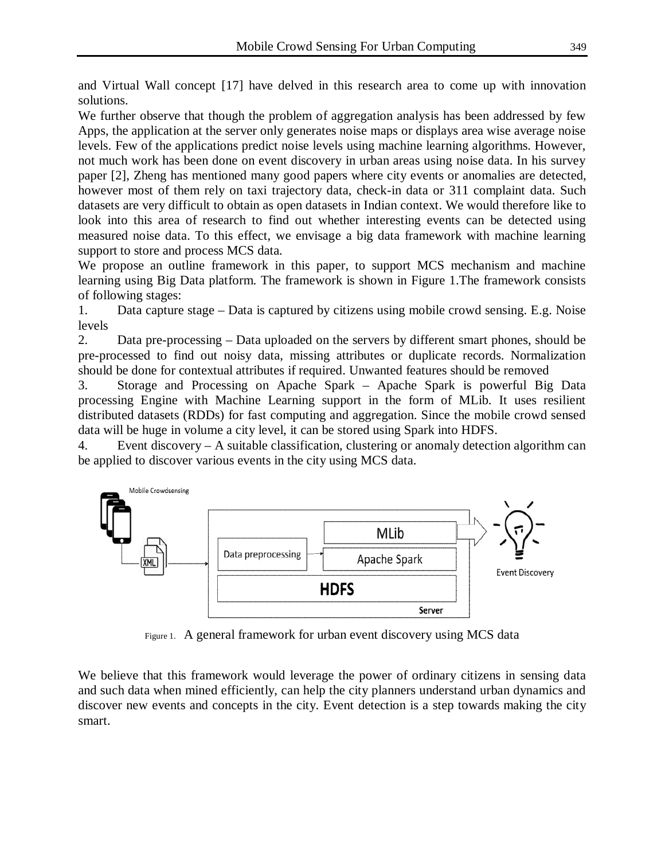and Virtual Wall concept [17] have delved in this research area to come up with innovation solutions.

We further observe that though the problem of aggregation analysis has been addressed by few Apps, the application at the server only generates noise maps or displays area wise average noise levels. Few of the applications predict noise levels using machine learning algorithms. However, not much work has been done on event discovery in urban areas using noise data. In his survey paper [2], Zheng has mentioned many good papers where city events or anomalies are detected, however most of them rely on taxi trajectory data, check-in data or 311 complaint data. Such datasets are very difficult to obtain as open datasets in Indian context. We would therefore like to look into this area of research to find out whether interesting events can be detected using measured noise data. To this effect, we envisage a big data framework with machine learning support to store and process MCS data.

We propose an outline framework in this paper, to support MCS mechanism and machine learning using Big Data platform. The framework is shown in Figure 1.The framework consists of following stages:

1. Data capture stage – Data is captured by citizens using mobile crowd sensing. E.g. Noise levels

2. Data pre-processing – Data uploaded on the servers by different smart phones, should be pre-processed to find out noisy data, missing attributes or duplicate records. Normalization should be done for contextual attributes if required. Unwanted features should be removed

3. Storage and Processing on Apache Spark – Apache Spark is powerful Big Data processing Engine with Machine Learning support in the form of MLib. It uses resilient distributed datasets (RDDs) for fast computing and aggregation. Since the mobile crowd sensed data will be huge in volume a city level, it can be stored using Spark into HDFS.

4. Event discovery – A suitable classification, clustering or anomaly detection algorithm can be applied to discover various events in the city using MCS data.



Figure 1. A general framework for urban event discovery using MCS data

We believe that this framework would leverage the power of ordinary citizens in sensing data and such data when mined efficiently, can help the city planners understand urban dynamics and discover new events and concepts in the city. Event detection is a step towards making the city smart.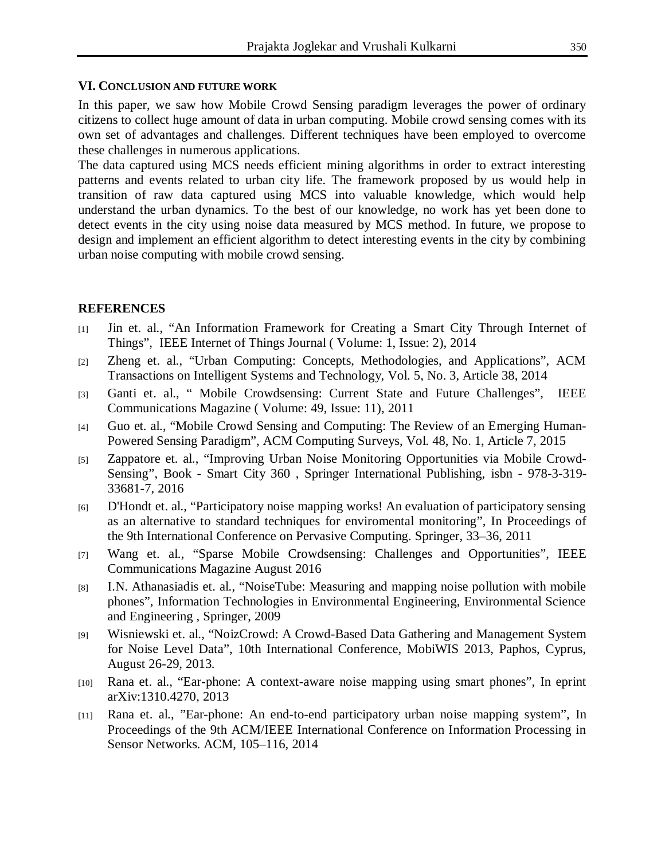#### **VI. CONCLUSION AND FUTURE WORK**

In this paper, we saw how Mobile Crowd Sensing paradigm leverages the power of ordinary citizens to collect huge amount of data in urban computing. Mobile crowd sensing comes with its own set of advantages and challenges. Different techniques have been employed to overcome these challenges in numerous applications.

The data captured using MCS needs efficient mining algorithms in order to extract interesting patterns and events related to urban city life. The framework proposed by us would help in transition of raw data captured using MCS into valuable knowledge, which would help understand the urban dynamics. To the best of our knowledge, no work has yet been done to detect events in the city using noise data measured by MCS method. In future, we propose to design and implement an efficient algorithm to detect interesting events in the city by combining urban noise computing with mobile crowd sensing.

# **REFERENCES**

- [1] Jin et. al., "An Information Framework for Creating a Smart City Through Internet of Things", IEEE Internet of Things Journal ( Volume: 1, Issue: 2), 2014
- [2] Zheng et. al., "Urban Computing: Concepts, Methodologies, and Applications", ACM Transactions on Intelligent Systems and Technology, Vol. 5, No. 3, Article 38, 2014
- [3] Ganti et. al., " Mobile Crowdsensing: Current State and Future Challenges", IEEE Communications Magazine ( Volume: 49, Issue: 11), 2011
- [4] Guo et. al., "Mobile Crowd Sensing and Computing: The Review of an Emerging Human-Powered Sensing Paradigm", ACM Computing Surveys, Vol. 48, No. 1, Article 7, 2015
- [5] Zappatore et. al., "Improving Urban Noise Monitoring Opportunities via Mobile Crowd-Sensing", Book - Smart City 360 , Springer International Publishing, isbn - 978-3-319- 33681-7, 2016
- [6] D'Hondt et. al., "Participatory noise mapping works! An evaluation of participatory sensing as an alternative to standard techniques for enviromental monitoring", In Proceedings of the 9th International Conference on Pervasive Computing. Springer, 33–36, 2011
- [7] Wang et. al., "Sparse Mobile Crowdsensing: Challenges and Opportunities", IEEE Communications Magazine August 2016
- [8] I.N. Athanasiadis et. al., "NoiseTube: Measuring and mapping noise pollution with mobile phones", Information Technologies in Environmental Engineering, Environmental Science and Engineering , Springer, 2009
- [9] Wisniewski et. al., "NoizCrowd: A Crowd-Based Data Gathering and Management System for Noise Level Data", 10th International Conference, MobiWIS 2013, Paphos, Cyprus, August 26-29, 2013.
- [10] Rana et. al., "Ear-phone: A context-aware noise mapping using smart phones", In eprint arXiv:1310.4270, 2013
- [11] Rana et. al., "Ear-phone: An end-to-end participatory urban noise mapping system", In Proceedings of the 9th ACM/IEEE International Conference on Information Processing in Sensor Networks. ACM, 105–116, 2014